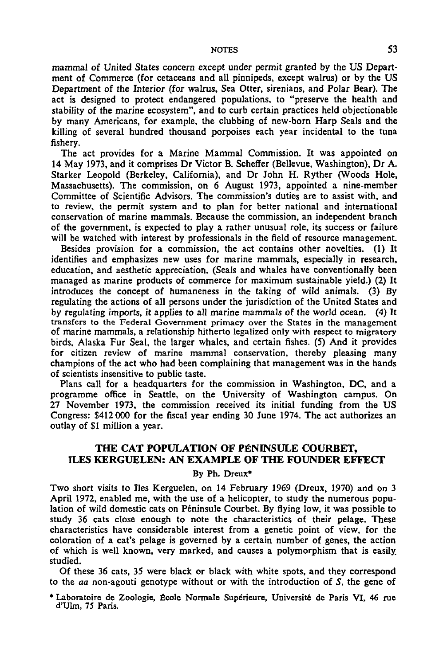### NOTES 53

mammal of United States concern except under permit granted by the US Department of Commerce (for cetaceans and all pinnipeds, except walrus) or by the US Department of the Interior (for walrus, Sea Otter, sirenians, and Polar Bear). The act is designed to protect endangered populations, to "preserve the health and stability of the marine ecosystem", and to curb certain practices held objectionable by many Americans, for example, the clubbing of new-born Harp Seals and the killing of several hundred thousand porpoises each year incidental to the tuna fishery.

The act provides for a Marine Mammal Commission. It was appointed on 14 May 1973, and it comprises Dr Victor B. Scheffer (Bellevue, Washington), Dr A. Starker Leopold (Berkeley, California), and Dr John H. Ryther (Woods Hole, Massachusetts). The commission, on 6 August 1973, appointed a nine-member Committee of Scientific Advisors. The commission's duties are to assist with, and to review, the permit system and to plan for better national and international conservation of marine mammals. Because the commission, an independent branch of the government, is expected to play a rather unusual role, its success or failure will be watched with interest by professionals in the field of resource management.

Besides provision for a commission, the act contains other novelties. (1) It identifies and emphasizes new uses for marine mammals, especially in research, education, and aesthetic appreciation. (Seals and whales have conventionally been managed as marine products of commerce for maximum sustainable yield.) (2) It introduces the concept of humaneness in the taking of wild animals. (3) By regulating the actions of all persons under the jurisdiction of the United States and by regulating imports, it applies to all marine mammals of the world ocean. (4) It transfers to the Federal Government primacy over the States in the management of marine mammals, a relationship hitherto legalized only with respect to migratory birds, Alaska Fur Seal, the larger whales, and certain fishes. (5) And it provides for citizen review of marine mammal conservation, thereby pleasing many champions of the act who had been complaining that management was in the hands of scientists insensitive to public taste.

Plans call for a headquarters for the commission in Washington, DC, and a programme office in Seattle, on the University of Washington campus. On 27 November 1973, the commission received its initial funding from the US Congress: \$412 000 for the fiscal year ending 30 June 1974. The act authorizes an outlay of \$1 million a year.

# THE CAT POPULATION OF PENINSULE COURBET, **1LES KERGUELEN: AN EXAMPLE OF THE FOUNDER EFFECT**

### By Ph. Dreux\*

Two short visits to lies Kerguelen, on 14 February 1969 (Dreux, 1970) and on 3 April 1972, enabled me, with the use of a helicopter, to study the numerous population of wild domestic cats on Peninsule Courbet. By flying low, it was possible to study 36 cats close enough to note the characteristics of their pelage. These characteristics have considerable interest from a genetic point of view, for the coloration of a cat's pelage is governed by a certain number of genes, the action of which is well known, very marked, and causes a polymorphism that is easily, studied.

Of these 36 cats, 35 were black or black with white spots, and they correspond to the *aa* non-agouti genotype without or with the introduction of *S,* the gene of

\* Laboratoire de Zoologie, ficole Normale Superieure, University de Paris VI, 46 rue d'Ulm, 75 Paris.